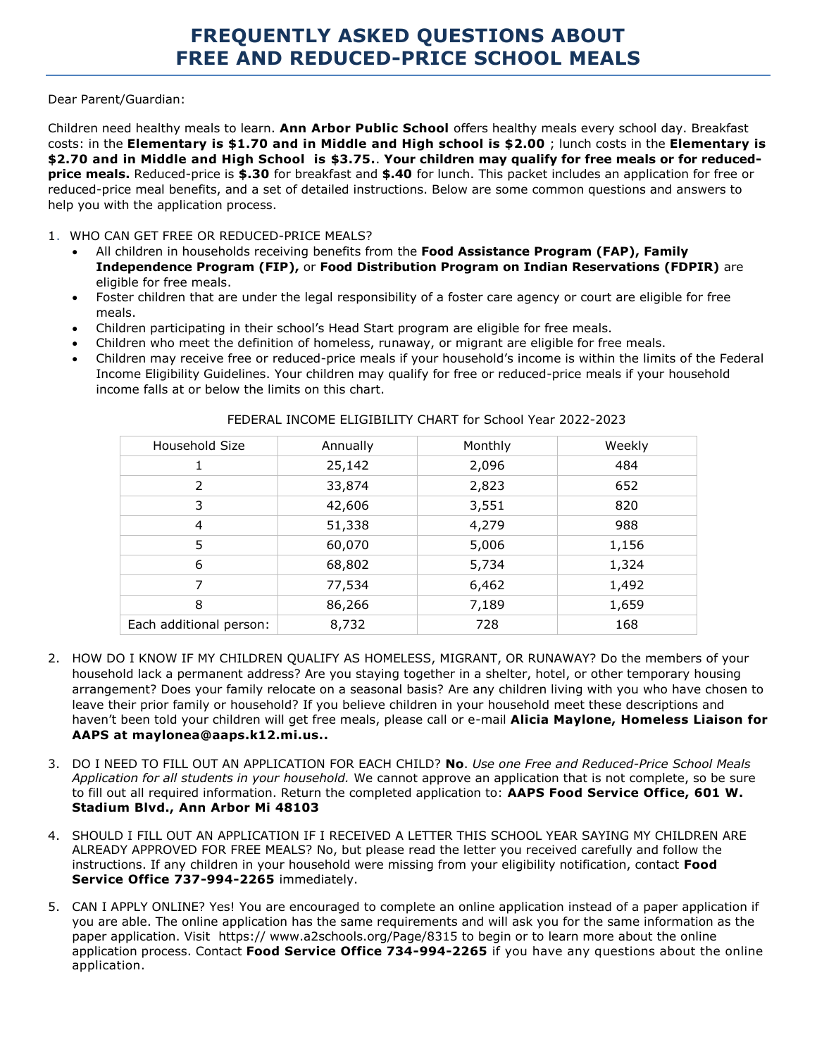## Dear Parent/Guardian:

Children need healthy meals to learn. **Ann Arbor Public School** offers healthy meals every school day. Breakfast costs: in the **Elementary is \$1.70 and in Middle and High school is \$2.00** ; lunch costs in the **Elementary is \$2.70 and in Middle and High School is \$3.75.**. **Your children may qualify for free meals or for reducedprice meals.** Reduced-price is **\$.30** for breakfast and **\$.40** for lunch. This packet includes an application for free or reduced-price meal benefits, and a set of detailed instructions. Below are some common questions and answers to help you with the application process.

## 1. WHO CAN GET FREE OR REDUCED-PRICE MEALS?

- All children in households receiving benefits from the **Food Assistance Program (FAP), Family Independence Program (FIP),** or **Food Distribution Program on Indian Reservations (FDPIR)** are eligible for free meals.
- Foster children that are under the legal responsibility of a foster care agency or court are eligible for free meals.
- Children participating in their school's Head Start program are eligible for free meals.
- Children who meet the definition of homeless, runaway, or migrant are eligible for free meals.
- Children may receive free or reduced-price meals if your household's income is within the limits of the Federal Income Eligibility Guidelines. Your children may qualify for free or reduced-price meals if your household income falls at or below the limits on this chart.

| Household Size          | Annually | Monthly | Weekly |
|-------------------------|----------|---------|--------|
|                         | 25,142   | 2,096   | 484    |
| 2                       | 33,874   | 2,823   | 652    |
| 3                       | 42,606   | 3,551   | 820    |
| 4                       | 51,338   | 4,279   | 988    |
| 5                       | 60,070   | 5,006   | 1,156  |
| 6                       | 68,802   | 5,734   | 1,324  |
| 7                       | 77,534   | 6,462   | 1,492  |
| 8                       | 86,266   | 7,189   | 1,659  |
| Each additional person: | 8,732    | 728     | 168    |

## FEDERAL INCOME ELIGIBILITY CHART for School Year 2022-2023

- 2. HOW DO I KNOW IF MY CHILDREN QUALIFY AS HOMELESS, MIGRANT, OR RUNAWAY? Do the members of your household lack a permanent address? Are you staying together in a shelter, hotel, or other temporary housing arrangement? Does your family relocate on a seasonal basis? Are any children living with you who have chosen to leave their prior family or household? If you believe children in your household meet these descriptions and haven't been told your children will get free meals, please call or e-mail **Alicia Maylone, Homeless Liaison for AAPS at maylonea@aaps.k12.mi.us..**
- 3. DO I NEED TO FILL OUT AN APPLICATION FOR EACH CHILD? **No**. *Use one Free and Reduced-Price School Meals Application for all students in your household.* We cannot approve an application that is not complete, so be sure to fill out all required information. Return the completed application to: **AAPS Food Service Office, 601 W. Stadium Blvd., Ann Arbor Mi 48103**
- 4. SHOULD I FILL OUT AN APPLICATION IF I RECEIVED A LETTER THIS SCHOOL YEAR SAYING MY CHILDREN ARE ALREADY APPROVED FOR FREE MEALS? No, but please read the letter you received carefully and follow the instructions. If any children in your household were missing from your eligibility notification, contact **Food Service Office 737-994-2265** immediately.
- 5. CAN I APPLY ONLINE? Yes! You are encouraged to complete an online application instead of a paper application if you are able. The online application has the same requirements and will ask you for the same information as the paper application. Visit https:// www.a2schools.org/Page/8315 to begin or to learn more about the online application process. Contact **Food Service Office 734-994-2265** if you have any questions about the online application.